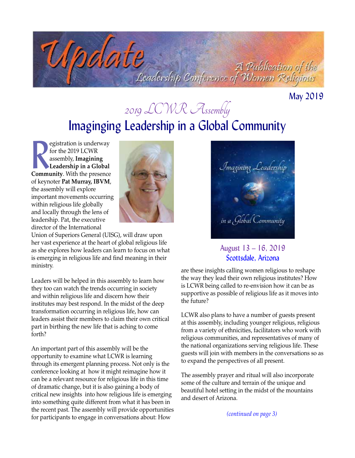Codate A Publication of the<br>Coadership Conference of Women Religious

May 2019

# Imaginging Leadership in a Global Community 2019 LCWR Assembly

**Community**. With the presence the presence of the presence of the presence of the presence of the presence of the presence of the presence of the presence of the presence of the presence of the presence of the presence of egistration is underway for the 2019 LCWR assembly, **Imagining Leadership in a Global**  of keynoter **Pat Murray, IBVM**, the assembly will explore important movements occurring within religious life globally and locally through the lens of leadership. Pat, the executive director of the International



Union of Superiors General (UISG), will draw upon her vast experience at the heart of global religious life as she explores how leaders can learn to focus on what is emerging in religious life and find meaning in their ministry.

Leaders will be helped in this assembly to learn how they too can watch the trends occurring in society and within religious life and discern how their institutes may best respond. In the midst of the deep transformation occurring in religious life, how can leaders assist their members to claim their own critical part in birthing the new life that is aching to come forth?

An important part of this assembly will be the opportunity to examine what LCWR is learning through its emergent planning process. Not only is the conference looking at how it might reimagine how it can be a relevant resource for religious life in this time of dramatic change, but it is also gaining a body of critical new insights into how religious life is emerging into something quite different from what it has been in the recent past. The assembly will provide opportunities for participants to engage in conversations about: How



#### August 13 – 16, 2019 Scottsdale, Arizona

are these insights calling women religious to reshape the way they lead their own religious institutes? How is LCWR being called to re-envision how it can be as supportive as possible of religious life as it moves into the future?

LCWR also plans to have a number of guests present at this assembly, including younger religious, religious from a variety of ethnicities, facilitators who work with religious communities, and representatives of many of the national organizations serving religious life. These guests will join with members in the conversations so as to expand the perspectives of all present.

The assembly prayer and ritual will also incorporate some of the culture and terrain of the unique and beautiful hotel setting in the midst of the mountains and desert of Arizona.

*(continued on page 3)*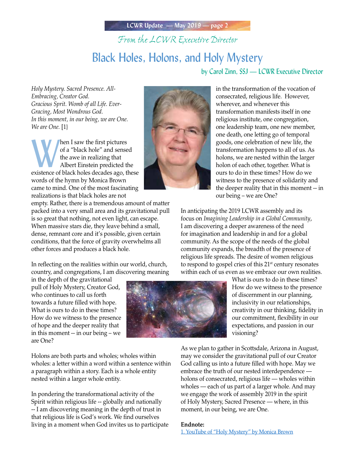## *From the LCWR Executive Director* Black Holes, Holons, and Holy Mystery

by Carol Zinn, SSJ — LCWR Executive Director

*Holy Mystery. Sacred Presence. All-Embracing, Creator God. Gracious Sprit. Womb of all Life. Ever-Gracing, Most Wondrous God. In this moment, in our being, we are One. We are One.* [1}

Men I saw the first pictures<br>
of a "black hole" and sensed<br>
the awe in realizing that<br>
Albert Einstein predicted the<br>
existence of black holes decades ago, these of a "black hole" and sensed the awe in realizing that Albert Einstein predicted the words of the hymn by Monica Brown came to mind. One of the most fascinating realizations is that black holes are not

empty. Rather, there is a tremendous amount of matter packed into a very small area and its gravitational pull is so great that nothing, not even light, can escape. When massive stars die, they leave behind a small, dense, remnant core and it's possible, given certain conditions, that the force of gravity overwhelms all other forces and produces a black hole.

In reflecting on the realities within our world, church, country, and congregations, I am discovering meaning

in the depth of the gravitational pull of Holy Mystery, Creator God, who continues to call us forth towards a future filled with hope. What is ours to do in these times? How do we witness to the presence of hope and the deeper reality that in this moment -- in our being – we are One?

Holons are both parts and wholes; wholes within wholes: a letter within a word within a sentence within a paragraph within a story. Each is a whole entity nested within a larger whole entity.

In pondering the transformational activity of the Spirit within religious life -- globally and nationally -- I am discovering meaning in the depth of trust in that religious life is God's work. We find ourselves living in a moment when God invites us to participate



in the transformation of the vocation of consecrated, religious life. However, wherever, and whenever this transformation manifests itself in one religious institute, one congregation, one leadership team, one new member, one death, one letting go of temporal goods, one celebration of new life, the transformation happens to all of us. As holons, we are nested within the larger holon of each other, together. What is ours to do in these times? How do we witness to the presence of solidarity and the deeper reality that in this moment -- in our being – we are One?

In anticipating the 2019 LCWR assembly and its focus on *Imagining Leadership in a Global Community*, I am discovering a deeper awareness of the need for imagination and leadership in and for a global community. As the scope of the needs of the global community expands, the breadth of the presence of religious life spreads. The desire of women religious to respond to gospel cries of this  $21<sup>st</sup>$  century resonates within each of us even as we embrace our own realities.

> What is ours to do in these times? How do we witness to the presence of discernment in our planning, inclusivity in our relationships, creativity in our thinking, fidelity in our commitment, flexibility in our expectations, and passion in our visioning?

As we plan to gather in Scottsdale, Arizona in August, may we consider the gravitational pull of our Creator God calling us into a future filled with hope. May we embrace the truth of our nested interdependence holons of consecrated, religious life — wholes within wholes — each of us part of a larger whole. And may we engage the work of assembly 2019 in the spirit of Holy Mystery, Sacred Presence — where, in this moment, in our being, we are One.

#### **Endnote:**

1. [YouTube of "Holy Mystery" by Monica Brown](https://www.youtube.com/watch?v=ijFxTGeXvUk)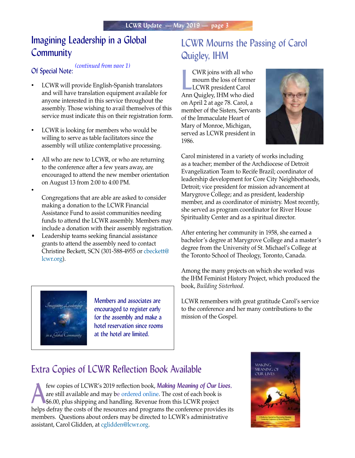## Imagining Leadership in a Global **Community**

*(continued from page 1)* Of Special Note:

- LCWR will provide English-Spanish translators and will have translation equipment available for anyone interested in this service throughout the assembly. Those wishing to avail themselves of this service must indicate this on their registration form.
- LCWR is looking for members who would be willing to serve as table facilitators since the assembly will utilize contemplative processing.
- All who are new to LCWR, or who are returning to the conference after a few years away, are encouraged to attend the new member orientation on August 13 from 2:00 to 4:00 PM.
- Congregations that are able are asked to consider making a donation to the LCWR Financial Assistance Fund to assist communities needing funds to attend the LCWR assembly. Members may include a donation with their assembly registration.
- Leadership teams seeking financial assistance grants to attend the assembly need to contact Christine Beckett, SCN (301-588-4955 or [cbeckett@](mailto:cbeckett@lcwr.org) [lcwr.org\)](mailto:cbeckett@lcwr.org).



Members and associates are encouraged to register early for the assembly and make a hotel reservation since rooms at the hotel are limited.

## LCWR Mourns the Passing of Carol Quigley, IHM

**EVR** joins with all who<br>mourn the loss of former<br>LCWR president Carol<br>Ann Quigley, IHM who died CWR joins with all who mourn the loss of former LCWR president Carol on April 2 at age 78. Carol, a member of the Sisters, Servants of the Immaculate Heart of Mary of Monroe, Michigan, served as LCWR president in 1986.



Carol ministered in a variety of works including as a teacher; member of the Archdiocese of Detroit Evangelization Team to Recife Brazil; coordinator of leadership development for Core City Neighborhoods, Detroit; vice president for mission advancement at Marygrove College; and as president, leadership member, and as coordinator of ministry. Most recently, she served as program coordinator for River House Spirituality Center and as a spiritual director.

After entering her community in 1958, she earned a bachelor's degree at Marygrove College and a master's degree from the University of St. Michael's College at the Toronto School of Theology, Toronto, Canada.

Among the many projects on which she worked was the IHM Feminist History Project, which produced the book, *Building Sisterhood*.

LCWR remembers with great gratitude Carol's service to the conference and her many contributions to the mission of the Gospel.

## Extra Copies of LCWR Reflection Book Available

few copies of LCWR's 2019 reflection book, *Making Meaning of Our Lives*, are still available and may be ordered online. The cost of each book is \$6.00, plus shipping and handling. Revenue from this LCWR project are still available and may be [ordered online.](https://lcwr.org/item/daily-reflection-book-0) The cost of each book is \$6.00, plus shipping and handling. Revenue from this LCWR project helps defray the costs of the resources and programs the conference provides its members. Questions about orders may be directed to LCWR's administrative assistant, Carol Glidden, at cglidden@lcwr.org.

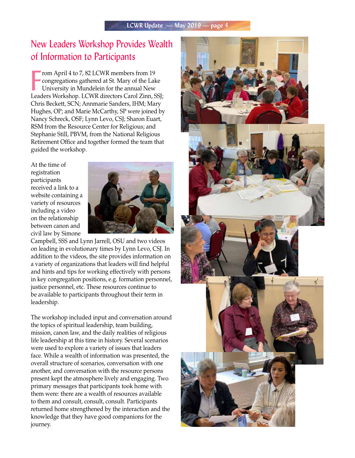## New Leaders Workshop Provides Wealth of Information to Participants

From April 4 to 7, 82 LCWR members from 19<br>
congregations gathered at St. Mary of the Lake<br>
University in Mundelein for the annual New<br>
Leaders Workshop. LCWR directors Carol Zinn, SSJ; rom April 4 to 7, 82 LCWR members from 19 congregations gathered at St. Mary of the Lake University in Mundelein for the annual New Chris Beckett, SCN; Annmarie Sanders, IHM; Mary Hughes, OP; and Marie McCarthy, SP were joined by Nancy Schreck, OSF; Lynn Levo, CSJ; Sharon Euart, RSM from the Resource Center for Religious; and Stephanie Still, PBVM, from the National Religious Retirement Office and together formed the team that guided the workshop.

At the time of registration participants received a link to a website containing a variety of resources including a video on the relationship between canon and civil law by Simone



Campbell, SSS and Lynn Jarrell, OSU and two videos on leading in evolutionary times by Lynn Levo, CSJ. In addition to the videos, the site provides information on a variety of organizations that leaders will find helpful and hints and tips for working effectively with persons in key congregation positions, e.g. formation personnel, justice personnel, etc. These resources continue to be available to participants throughout their term in leadership.

The workshop included input and conversation around the topics of spiritual leadership, team building, mission, canon law, and the daily realities of religious life leadership at this time in history. Several scenarios were used to explore a variety of issues that leaders face. While a wealth of information was presented, the overall structure of scenarios, conversation with one another, and conversation with the resource persons present kept the atmosphere lively and engaging. Two primary messages that participants took home with them were: there are a wealth of resources available to them and consult, consult, consult. Participants returned home strengthened by the interaction and the knowledge that they have good companions for the journey.

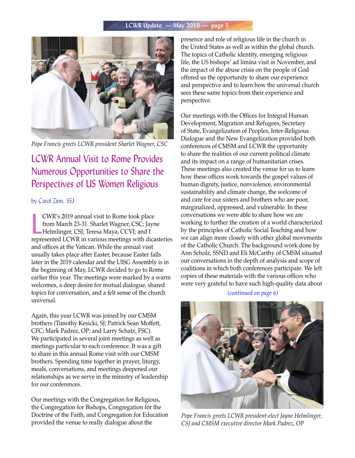

*Pope Francis greets LCWR president Sharlet Wagner, CSC*

## LCWR Annual Visit to Rome Provides Numerous Opportunities to Share the Perspectives of US Women Religious

#### by Carol Zinn, SSJ

CWR's 2019 annual visit to Rome took place<br>from March 23-31. Sharlet Wagner, CSC; Jayne<br>Helmlinger, CSJ; Teresa Maya, CCVI; and I<br>represented LCWR in various meetings with dicasteries CWR's 2019 annual visit to Rome took place from March 23-31. Sharlet Wagner, CSC; Jayne Helmlinger, CSJ; Teresa Maya, CCVI; and I and offices at the Vatican. While the annual visit usually takes place after Easter, because Easter falls later in the 2019 calendar and the UISG Assembly is in the beginning of May, LCWR decided to go to Rome earlier this year. The meetings were marked by a warm welcomes, a deep desire for mutual dialogue, shared topics for conversation, and a felt sense of the church universal.

Again, this year LCWR was joined by our CMSM brothers (Timothy Kesicki, SJ; Patrick Sean Moffett, CFC; Mark Padrez, OP; and Larry Schatz, FSC). We participated in several joint meetings as well as meetings particular to each conference. It was a gift to share in this annual Rome visit with our CMSM brothers. Spending time together in prayer, liturgy, meals, conversations, and meetings deepened our relationships as we serve in the ministry of leadership for our conferences.

Our meetings with the Congregation for Religious, the Congregation for Bishops, Congregation for the Doctrine of the Faith, and Congregation for Education provided the venue to really dialogue about the

presence and role of religious life in the church in the United States as well as within the global church. The topics of Catholic identity, emerging religious life, the US bishops' ad limina visit in November, and the impact of the abuse crisis on the people of God offered us the opportunity to share our experience and perspective and to learn how the universal church sees these same topics from their experience and perspective.

Our meetings with the Offices for Integral Human Development, Migration and Refugees, Secretary of State, Evangelization of Peoples, Inter-Religious Dialogue and the New Evangelization provided both conferences of CMSM and LCWR the opportunity to share the realities of our current political climate and its impact on a range of humanitarian crises. These meetings also created the venue for us to learn how these offices work towards the gospel values of human dignity, justice, nonviolence, environmental sustainability and climate change, the welcome of and care for our sisters and brothers who are poor, marginalized, oppressed, and vulnerable. In these conversations we were able to share how we are working to further the creation of a world characterized by the principles of Catholic Social Teaching and how we can align more closely with other global movements of the Catholic Church. The background work done by Ann Scholz, SSND and Eli McCarthy of CMSM situated our conversations in the depth of analysis and scope of coalitions in which both conferences participate. We left copies of these materials with the various offices who were very grateful to have such high-quality data about

#### *(continued on page 6)*



*Pope Francis greets LCWR president-elect Jayne Helmlinger, CSJ and CMSM executive director Mark Padrez, OP*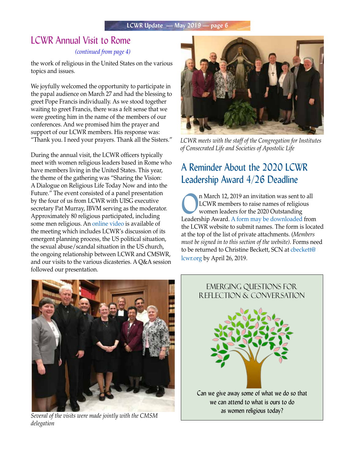## LCWR Annual Visit to Rome

#### *(continued from page 4)*

the work of religious in the United States on the various topics and issues.

We joyfully welcomed the opportunity to participate in the papal audience on March 27 and had the blessing to greet Pope Francis individually. As we stood together waiting to greet Francis, there was a felt sense that we were greeting him in the name of the members of our conferences. And we promised him the prayer and support of our LCWR members. His response was: "Thank you. I need your prayers. Thank all the Sisters."

During the annual visit, the LCWR officers typically meet with women religious leaders based in Rome who have members living in the United States. This year, the theme of the gathering was "Sharing the Vision: A Dialogue on Religious Life Today Now and into the Future." The event consisted of a panel presentation by the four of us from LCWR with UISG executive secretary Pat Murray, IBVM serving as the moderator. Approximately 80 religious participated, including some men religious. An [online video](https://youtu.be/VEtO4cV67q4) is available of the meeting which includes LCWR's discussion of its emergent planning process, the US political situation, the sexual abuse/scandal situation in the US church, the ongoing relationship between LCWR and CMSWR, and our visits to the various dicasteries. A Q&A session followed our presentation.



*LCWR meets with the staff of the Congregation for Institutes of Consecrated Life and Societies of Apostolic Life*

## A Reminder About the 2020 LCWR Leadership Award 4/26 Deadline

**OREA CONFIDENTIFY AT A CONFIDENTIFY AND INCORPORATION CONFIDENTIFY A CONFIDENTIFY A CONFIDENTIFY A CONFIDENTIFY A CONFIDENTIFY A CONFIDENTIFY A CONFIDENTIFY A CONFIDENTIFY A CONFIDENTIFY A CONFIDENTIFY A CONFIDENTIFY A CO** LCWR members to raise names of religious women leaders for the 2020 Outstanding Leadership Award. [A form may be downloaded](https://lcwr.org/members) from the LCWR website to submit names. The form is located at the top of the list of private attachments. (*Members must be signed in to this section of the website)*. Forms need to be returned to Christine Beckett, SCN at [cbeckett@](mailto:cbeckett@lcwr.org) [lcwr.org](mailto:cbeckett@lcwr.org) by April 26, 2019.



*Several of the visits were made jointly with the CMSM delegation*

# Emerging Questions for Reflection & Conversation Can we give away some of what we do so that we can attend to what is ours to do as women religious today?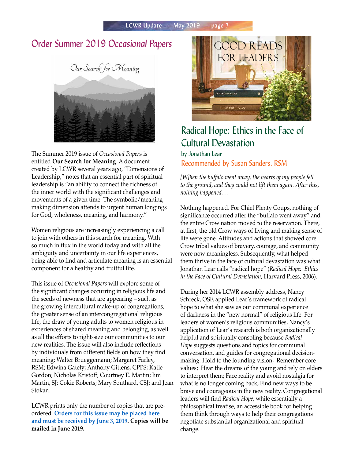## Order Summer 2019 *Occasional Papers*



The Summer 2019 issue of *Occasional Paper*s is entitled **Our Search for Meaning**. A document created by LCWR several years ago, "Dimensions of Leadership," notes that an essential part of spiritual leadership is "an ability to connect the richness of the inner world with the significant challenges and movements of a given time. The symbolic/meaning– making dimension attends to urgent human longings for God, wholeness, meaning, and harmony."

Women religious are increasingly experiencing a call to join with others in this search for meaning. With so much in flux in the world today and with all the ambiguity and uncertainty in our life experiences, being able to find and articulate meaning is an essential component for a healthy and fruitful life.

This issue of *Occasional Papers* will explore some of the significant changes occurring in religious life and the seeds of newness that are appearing – such as the growing intercultural make-up of congregations, the greater sense of an intercongregational religious life, the draw of young adults to women religious in experiences of shared meaning and belonging, as well as all the efforts to right-size our communities to our new realities. The issue will also include reflections by individuals from different fields on how they find meaning: Walter Brueggemann; Margaret Farley, RSM; Edwina Gately; Anthony Gittens, CPPS; Katie Gordon; Nicholas Kristoff; Courtney E. Martin; Jim Martin, SJ; Cokie Roberts; Mary Southard, CSJ; and Jean Stokan.

LCWR prints only the number of copies that are preordered. **[Orders for this issue may be placed here](https://lcwr.org/item/occasional-papers-summer-2019)  [and must be received by June 3, 2019.](https://lcwr.org/item/occasional-papers-summer-2019) Copies will be mailed in June 2019.**



## Radical Hope: Ethics in the Face of Cultural Devastation

#### by Jonathan Lear Recommended by Susan Sanders, RSM

*[W]hen the buffalo went away, the hearts of my people fell to the ground, and they could not lift them again. After this, nothing happened. . .*

Nothing happened. For Chief Plenty Coups, nothing of significance occurred after the "buffalo went away" and the entire Crow nation moved to the reservation. There, at first, the old Crow ways of living and making sense of life were gone. Attitudes and actions that showed core Crow tribal values of bravery, courage, and community were now meaningless. Subsequently, what helped them thrive in the face of cultural devastation was what Jonathan Lear calls "radical hope" (*Radical Hope: Ethics in the Face of Cultural Devastation,* Harvard Press, 2006).

During her 2014 LCWR assembly address, Nancy Schreck, OSF, applied Lear's framework of radical hope to what she saw as our communal experience of darkness in the "new normal" of religious life. For leaders of women's religious communities, Nancy's application of Lear's research is both organizationally helpful and spiritually consoling because *Radical Hope* suggests questions and topics for communal conversation, and guides for congregational decisionmaking: Hold to the founding vision; Remember core values; Hear the dreams of the young and rely on elders to interpret them; Face reality and avoid nostalgia for what is no longer coming back; Find new ways to be brave and courageous in the new reality. Congregational leaders will find *Radical Hope,* while essentially a philosophical treatise, an accessible book for helping them think through ways to help their congregations negotiate substantial organizational and spiritual change.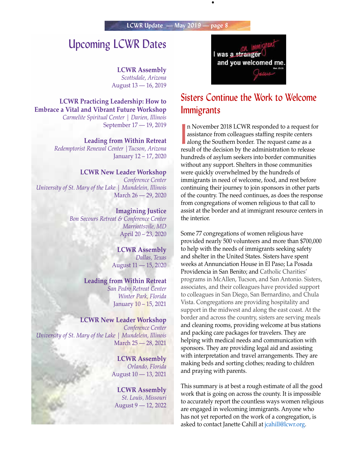•

## Upcoming LCWR Dates

**LCWR Assembly** *Scottsdale, Arizona* August 13 — 16, 2019

**LCWR Practicing Leadership: How to Embrace a Vital and Vibrant Future Workshop** *Carmelite Spiritual Center | Darien, Illinois*

September 17 — 19, 2019

**Leading from Within Retreat**

*Redemptorist Renewal Center |Tucson, Arizona* January 12 – 17, 2020

#### **LCWR New Leader Workshop**

*Conference Center University of St. Mary of the Lake | Mundelein, Illinois*  March 26 — 29, 2020

> **Imagining Justice** *Bon Secours Retreat & Conference Center Marriottsvile, MD* April 20 – 23, 2020

#### **LCWR Assembly**

*Dallas, Texas* August 11 — 15, 2020

#### **Leading from Within Retreat**

*San Pedro Retreat Center Winter Park, Florida* January 10 – 15, 2021

#### **LCWR New Leader Workshop**

*Conference Center University of St. Mary of the Lake | Mundelein, Illinois*  March 25 — 28, 2021

> **LCWR Assembly** *Orlando, Florida* August 10 — 13, 2021

**LCWR Assembly** *St. Louis, Missouri* August 9 — 12, 2022



## Sisters Continue the Work to Welcome **Immigrants**

In November 2018 LCWR responded to a request f<br>assistance from colleagues staffing respite centers<br>along the Southern border. The request came as a<br>result of the decision by the edministration to release n November 2018 LCWR responded to a request for assistance from colleagues staffing respite centers result of the decision by the administration to release hundreds of asylum seekers into border communities without any support. Shelters in those communities were quickly overwhelmed by the hundreds of immigrants in need of welcome, food, and rest before continuing their journey to join sponsors in other parts of the country. The need continues, as does the response from congregations of women religious to that call to assist at the border and at immigrant resource centers in the interior.

Some 77 congregations of women religious have provided nearly 500 volunteers and more than \$700,000 to help with the needs of immigrants seeking safety and shelter in the United States. Sisters have spent weeks at Annunciation House in El Paso; La Posada Providencia in San Benito; and Catholic Charities' programs in McAllen, Tucson, and San Antonio. Sisters, associates, and their colleagues have provided support to colleagues in San Diego, San Bernardino, and Chula Vista. Congregations are providing hospitality and support in the midwest and along the east coast. At the border and across the country, sisters are serving meals and cleaning rooms, providing welcome at bus stations and packing care packages for travelers. They are helping with medical needs and communication with sponsors. They are providing legal aid and assisting with interpretation and travel arrangements. They are making beds and sorting clothes; reading to children and praying with parents.

This summary is at best a rough estimate of all the good work that is going on across the county. It is impossible to accurately report the countless ways women religious are engaged in welcoming immigrants. Anyone who has not yet reported on the work of a congregation, is asked to contact Janette Cahill at [jcahill@lcwr.org](mailto:jcahill@lcwr.org).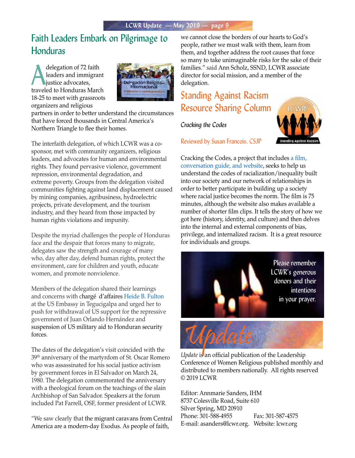## Faith Leaders Embark on Pilgrimage to Honduras

delegation of 72 faith<br>leaders and immigrar<br>justice advocates, leaders and immigrant justice advocates, traveled to Honduras March 18-25 to meet with grassroots organizers and religious



partners in order to better understand the circumstances that have forced thousands in Central America's Northern Triangle to flee their homes.

The interfaith delegation, of which LCWR was a cosponsor, met with community organizers, religious leaders, and advocates for human and environmental rights. They found pervasive violence, government repression, environmental degradation, and extreme poverty. Groups from the delegation visited communities fighting against land displacement caused by mining companies, agribusiness, hydroelectric projects, private development, and the tourism industry, and they heard from those impacted by human rights violations and impunity.

Despite the myriad challenges the people of Honduras face and the despair that forces many to migrate, delegates saw the strength and courage of many who, day after day, defend human rights, protect the environment, care for children and youth, educate women, and promote nonviolence.

Members of the delegation shared their learnings and concerns with chargé d'affaires [Heide B. Fulton](https://hn.usembassy.gov/our-relationship/our-ambassador/) at the US Embassy in Tegucigalpa and urged her to push for withdrawal of US support for the repressive government of Juan Orlando Hernández and suspension of US military aid to Honduran security forces.

The dates of the delegation's visit coincided with the 39th anniversary of the martyrdom of St. Oscar Romero who was assassinated for his social justice activism by government forces in El Salvador on March 24, 1980. The delegation commemorated the anniversary with a theological forum on the teachings of the slain Archbishop of San Salvador. Speakers at the forum included Pat Farrell, OSF, former president of LCWR.

"We saw clearly that the migrant caravans from Central America are a modern-day Exodus. As people of faith,

we cannot close the borders of our hearts to God's people, rather we must walk with them, learn from them, and together address the root causes that force so many to take unimaginable risks for the sake of their families." said Ann Scholz, SSND, LCWR associate director for social mission, and a member of the delegation.

## Standing Against Racism Resource Sharing Column

*Cracking the Codes*



Reviewed by Susan Francois, CSJP

Cracking the Codes, a project that includes [a film,](https://world-trust.org/product/cracking-codes-system-racial-inequity/)  [conversation guide, and website,](https://world-trust.org/product/cracking-codes-system-racial-inequity/) seeks to help us understand the codes of racialization/inequality built into our society and our network of relationships in order to better participate in building up a society where racial justice becomes the norm. The film is 75 minutes, although the website also makes available a number of shorter film clips. It tells the story of how we got here (history, identity, and culture) and then delves into the internal and external components of bias, privilege, and internalized racism. It is a great resource for individuals and groups.



*Update* is an official publication of the Leadership Conference of Women Religious published monthly and distributed to members nationally. All rights reserved © 2019 LCWR

Editor: Annmarie Sanders, IHM 8737 Colesville Road, Suite 610 Silver Spring, MD 20910 Phone: 301-588-4955 Fax: 301-587-4575 E-mail: asanders@lcwr.org. Website: lcwr.org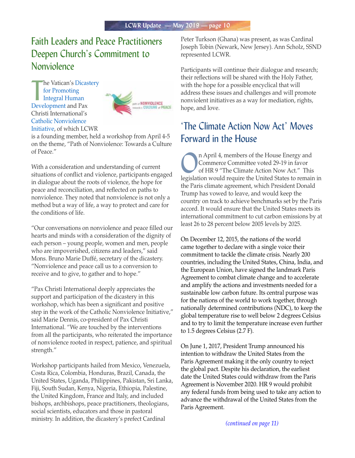## Faith Leaders and Peace Practitioners Deepen Church's Commitment to **Nonviolence**

**The Vatican's Dicas<br>
for Promoting<br>
Integral Human<br> [Development](http://www.humandevelopment.va/en.html) and Pax** he Vatican's [Dicastery](http://www.humandevelopment.va/en.html)  [for Promoting](http://www.humandevelopment.va/en.html)  [Integral Human](http://www.humandevelopment.va/en.html)  Christi International's [Catholic Nonviolence](https://nonviolencejustpeace.net/)  [Initiative](https://nonviolencejustpeace.net/), of which LCWR



is a founding member, held a workshop from April 4-5 on the theme, "Path of Nonviolence: Towards a Culture of Peace."

With a consideration and understanding of current situations of conflict and violence, participants engaged in dialogue about the roots of violence, the hope for peace and reconciliation, and reflected on paths to nonviolence. They noted that nonviolence is not only a method but a way of life, a way to protect and care for the conditions of life.

"Our conversations on nonviolence and peace filled our hearts and minds with a consideration of the dignity of each person – young people, women and men, people who are impoverished, citizens and leaders," said Mons. Bruno Marie Duffé, secretary of the dicastery. "Nonviolence and peace call us to a conversion to receive and to give, to gather and to hope."

"Pax Christi International deeply appreciates the support and participation of the dicastery in this workshop, which has been a significant and positive step in the work of the Catholic Nonviolence Initiative," said Marie Dennis, co-president of Pax Christi International. "We are touched by the interventions from all the participants, who reiterated the importance of nonviolence rooted in respect, patience, and spiritual strength."

Workshop participants hailed from Mexico, Venezuela, Costa Rica, Colombia, Honduras, Brazil, Canada, the United States, Uganda, Philippines, Pakistan, Sri Lanka, Fiji, South Sudan, Kenya, Nigeria, Ethiopia, Palestine, the United Kingdom, France and Italy, and included bishops, archbishops, peace practitioners, theologians, social scientists, educators and those in pastoral ministry. In addition, the dicastery's prefect Cardinal

Peter Turkson (Ghana) was present, as was Cardinal Joseph Tobin (Newark, New Jersey). Ann Scholz, SSND represented LCWR.

Participants will continue their dialogue and research; their reflections will be shared with the Holy Father, with the hope for a possible encyclical that will address these issues and challenges and will promote nonviolent initiatives as a way for mediation, rights, hope, and love.

## 'The Climate Action Now Act' Moves Forward in the House

n April 4, members of the House Energy and Commerce Committee voted 29-19 in favor of HR 9 "The Climate Action Now Act." This legislation would require the United States to remain in the Paris climate agreement, which President Donald Trump has vowed to leave, and would keep the country on track to achieve benchmarks set by the Paris accord. It would ensure that the United States meets its international commitment to cut carbon emissions by at least 26 to 28 percent below 2005 levels by 2025.

On December 12, 2015, the nations of the world came together to declare with a single voice their commitment to tackle the climate crisis. Nearly 200 countries, including the United States, China, India, and the European Union, have signed the landmark Paris Agreement to combat climate change and to accelerate and amplify the actions and investments needed for a sustainable low carbon future. Its central purpose was for the nations of the world to work together, through nationally determined contributions (NDC), to keep the global temperature rise to well below 2 degrees Celsius and to try to limit the temperature increase even further to 1.5 degrees Celsius (2.7 F).

On June 1, 2017, President Trump announced his intention to withdraw the United States from the Paris Agreement making it the only country to reject the global pact. Despite his declaration, the earliest date the United States could withdraw from the Paris Agreement is November 2020. HR 9 would prohibit any federal funds from being used to take any action to advance the withdrawal of the United States from the Paris Agreement.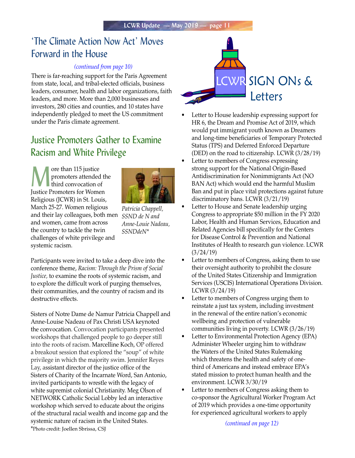## 'The Climate Action Now Act' Moves Forward in the House

#### *(continued from page 10)*

There is far-reaching support for the Paris Agreement from state, local, and tribal-elected officials, business leaders, consumer, health and labor organizations, faith leaders, and more. More than 2,000 businesses and investors, 280 cities and counties, and 10 states have independently pledged to meet the US commitment under the Paris climate agreement.

## Justice Promoters Gather to Examine Racism and White Privilege

**More than 115 justice**<br>
promoters attended the third convocation of promoters attended the Justice Promoters for Women Religious (JCWR) in St. Louis, March 25-27. Women religious and their lay colleagues, both men and women, came from across the country to tackle the twin challenges of white privilege and systemic racism.



*Patricia Chappell, SSND de N and Anne-Louie Nadeau, SSNDdeN\**

Participants were invited to take a deep dive into the conference theme, *Racism: Through the Prism of Social Justice,* to examine the roots of systemic racism, and to explore the difficult work of purging themselves, their communities, and the country of racism and its destructive effects.

Sisters of Notre Dame de Namur Patricia Chappell and Anne-Louise Nadeau of Pax Christi USA keynoted the convocation. Convocation participants presented workshops that challenged people to go deeper still into the roots of racism. Marcelline Koch, OP offered a breakout session that explored the "soup" of white privilege in which the majority swim. Jennifer Reyes Lay, assistant director of the justice office of the Sisters of Charity of the Incarnate Word, San Antonio, invited participants to wrestle with the legacy of white supremist colonial Christianity. Meg Olson of NETWORK Catholic Social Lobby led an interactive workshop which served to educate about the origins of the structural racial wealth and income gap and the systemic nature of racism in the United States. \*Photo credit: Joellen Sbrissa, CSJ



- Letter to House leadership expressing support for HR 6, the Dream and Promise Act of 2019, which would put immigrant youth known as Dreamers and long-time beneficiaries of Temporary Protected Status (TPS) and Deferred Enforced Departure (DED) on the road to citizenship. LCWR (3/28/19)
- Letter to members of Congress expressing strong support for the National Origin-Based Antidiscrimination for Nonimmigrants Act (NO BAN Act) which would end the harmful Muslim Ban and put in place vital protections against future discriminatory bans. LCWR (3/21/19)
- Letter to House and Senate leadership urging Congress to appropriate \$50 million in the FY 2020 Labor, Health and Human Services, Education and Related Agencies bill specifically for the Centers for Disease Control & Prevention and National Institutes of Health to research gun violence. LCWR (3/24/19)
- Letter to members of Congress, asking them to use their oversight authority to prohibit the closure of the United States Citizenship and Immigration Services (USCIS) International Operations Division. LCWR (3/24/19)
- Letter to members of Congress urging them to reinstate a just tax system, including investment in the renewal of the entire nation's economic wellbeing and protection of vulnerable communities living in poverty. LCWR (3/26/19)
- Letter to Environmental Protection Agency (EPA) Administer Wheeler urging him to withdraw the Waters of the United States Rulemaking which threatens the health and safety of onethird of Americans and instead embrace EPA's stated mission to protect human health and the environment. LCWR 3/30/19
- Letter to members of Congress asking them to co-sponsor the Agricultural Worker Program Act of 2019 which provides a one-time opportunity for experienced agricultural workers to apply

*(continued on page 12)*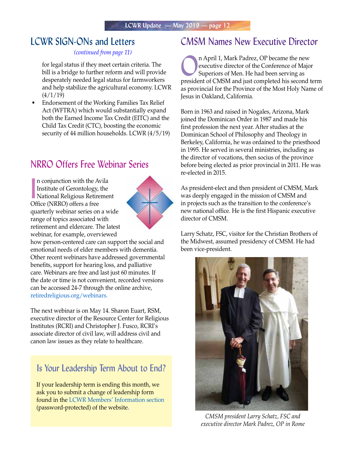## LCWR SIGN-ONs and Letters

#### *(continued from page 11)*

for legal status if they meet certain criteria. The bill is a bridge to further reform and will provide desperately needed legal status for farmworkers and help stabilize the agricultural economy. LCWR  $(4/1/19)$ 

• Endorsement of the Working Families Tax Relief Act (WFTRA) which would substantially expand both the Earned Income Tax Credit (EITC) and the Child Tax Credit (CTC), boosting the economic security of 44 million households. LCWR (4/5/19)

## NRRO Offers Free Webinar Series

n conjunction with the Avila<br>Institute of Gerontology, the<br>National Religious Retirement n conjunction with the Avila Institute of Gerontology, the Office (NRRO) offers a free quarterly webinar series on a wide range of topics associated with retirement and eldercare. The latest webinar, for example, overviewed



how person-centered care can support the social and emotional needs of elder members with dementia. Other recent webinars have addressed governmental benefits, support for hearing loss, and palliative care. Webinars are free and last just 60 minutes. If the date or time is not convenient, recorded versions can be accessed 24-7 through the online archive, retiredreligious.org/webinars.

The next webinar is on May 14. Sharon Euart, RSM, executive director of the Resource Center for Religious Institutes (RCRI) and Christopher J. Fusco, RCRI's associate director of civil law, will address civil and canon law issues as they relate to healthcare.

## Is Your Leadership Term About to End?

If your leadership term is ending this month, we ask you to submit a change of leadership form found in the [LCWR Members' Information section](https://lcwr.org/members/lcwr-membership-information) (password-protected) of the website.

## CMSM Names New Executive Director

**On April 1, Mark Padrez, OP became the new**<br>executive director of the Conference of Majo<br>Superiors of Men. He had been serving as executive director of the Conference of Major Superiors of Men. He had been serving as president of CMSM and just completed his second term as provincial for the Province of the Most Holy Name of Jesus in Oakland, California.

Born in 1963 and raised in Nogales, Arizona, Mark joined the Dominican Order in 1987 and made his first profession the next year. After studies at the Dominican School of Philosophy and Theology in Berkeley, California, he was ordained to the priesthood in 1995. He served in several ministries, including as the director of vocations, then socius of the province before being elected as prior provincial in 2011. He was re-elected in 2015.

As president-elect and then president of CMSM, Mark was deeply engaged in the mission of CMSM and in projects such as the transition to the conference's new national office. He is the first Hispanic executive director of CMSM.

Larry Schatz, FSC, visitor for the Christian Brothers of the Midwest, assumed presidency of CMSM. He had been vice-president.



*CMSM president Larry Schatz, FSC and executive director Mark Padrez, OP in Rome*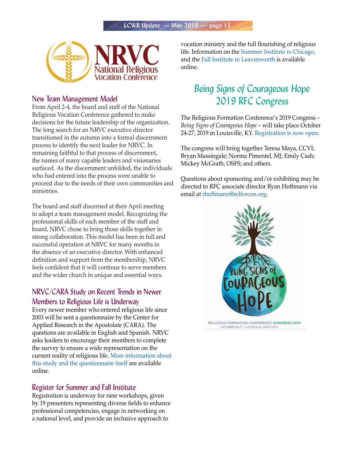

#### New Team Management Model

From April 2-4, the board and staff of the National Religious Vocation Conference gathered to make decisions for the future leadership of the organization. The long search for an NRVC executive director transitioned in the autumn into a formal discernment process to identify the next leader for NRVC. In remaining faithful to that process of discernment, the names of many capable leaders and visionaries surfaced. As the discernment unfolded, the individuals who had entered into the process were unable to proceed due to the needs of their own communities and ministries.

The board and staff discerned at their April meeting to adopt a team management model. Recognizing the professional skills of each member of the staff and board, NRVC chose to bring those skills together in strong collaboration. This model has been in full and successful operation at NRVC for many months in the absence of an executive director. With enhanced definition and support from the membership, NRVC feels confident that it will continue to serve members and the wider church in unique and essential ways.

#### NRVC/CARA Study on Recent Trends in Newer Members to Religious Life is Underway

Every newer member who entered religious life since 2003 will be sent a questionnaire by the Center for Applied Research in the Apostolate (CARA). The questions are available in English and Spanish. NRVC asks leaders to encourage their members to complete the survey to ensure a wide representation on the current reality of religious life. [More information about](https://nrvc.net/509/publication/9180/article/18728-survey-of-religious-institutes-and-societies-of-apostolic-life)  [this study and the questionnaire itself](https://nrvc.net/509/publication/9180/article/18728-survey-of-religious-institutes-and-societies-of-apostolic-life) are available online.

#### Register for Summer and Fall Institute

Registration is underway for nine workshops, given by 19 presenters representing diverse fields to enhance professional competencies, engage in networking on a national level, and provide an inclusive approach to

vocation ministry and the full flourishing of religious life. Information on the [Summer Institute in Chicago,](https://nrvc.net/292/publication/9454/article/18601-2019-summer-institute) and the [Fall Institute in Leavenworth](https://nrvc.net/274/publication/4171/article/18611-2019-fall-institute) is available online.

## *Being Signs of Courageous Hope*  2019 RFC Congress

The Religious Formation Conference's 2019 Congress – *Being Signs of Courageous Hope* – will take place October 24-27, 2019 in Louisville, KY. [Registration is now open.](https://lcwr.org/item/occasional-papers-summer-2019)

The congress will bring together Teresa Maya, CCVI; Bryan Massingale; Norma Pimentel, MJ; Emily Cash; Mickey McGrath, OSFS; and others.

Questions about sponsoring and/or exhibiting may be directed to RFC associate director Ryan Hoffmann via email at [rhoffmann@relforcon.org.](mailto:rhoffmann@relforcon.org)



OCTOBER 24-27 | LOUISVILLE, KENTUCKY